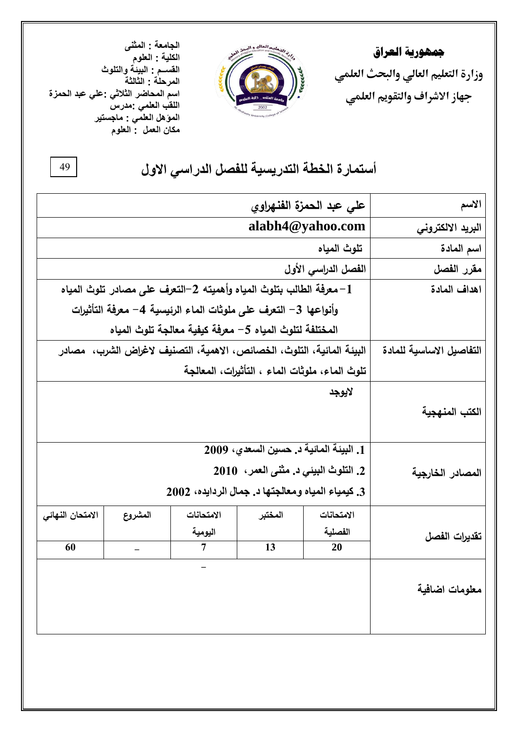**مجهورية العراق وزارة التعليم العالي والبحث العلمي جهاز االشراف والتقويم العلمي**



**الجامعة : المثنى الكلية : العلوم القســم : البيئة والتلوث المرحلة : الثالثة اسم المحاضر الثالثي :علي عبد الحمزة اللقب العلمي :مدرس المؤهل العلمي : ماجستير مكان العمل : العلوم**

## أستمارة الخطة التدريسية للفصل الدراس*ي* الاول

| على عبد الحمزة الفنهراوي                                              |                                                         |                                                   |         | الاسم                    |                  |
|-----------------------------------------------------------------------|---------------------------------------------------------|---------------------------------------------------|---------|--------------------------|------------------|
| alabh4@yahoo.com                                                      |                                                         |                                                   |         | البريد الالكتروني        |                  |
| تلوث المياه                                                           |                                                         |                                                   |         | اسم المادة               |                  |
|                                                                       |                                                         |                                                   |         | الفصل الدراسي الأول      | مقرر الفصل       |
| 1– معرفة الطالب بتلوث المياه وأهميته 2–التعرف على مصادر تلوث المياه   |                                                         |                                                   |         | اهداف المادة             |                  |
| وأنواعها 3– التعرف على ملوثات الماء الرئيسية 4– معرفة التأثيرات       |                                                         |                                                   |         |                          |                  |
|                                                                       | المختلفة لتلوث المياه 5– معرفة كيفية معالجة تلوث المياه |                                                   |         |                          |                  |
| البيئة المائية، التلوث، الخصائص، الاهمية، التصنيف لاغراض الشرب، مصادر |                                                         |                                                   |         | التفاصيل الاساسية للمادة |                  |
| تلوث الماء، ملوثات الماء ، التأثيرات، المعالجة                        |                                                         |                                                   |         |                          |                  |
| لايوجد                                                                |                                                         |                                                   |         |                          |                  |
|                                                                       |                                                         |                                                   |         |                          | الكتب المنهجية   |
|                                                                       |                                                         |                                                   |         |                          |                  |
|                                                                       | 1. الْبِينَة المالَية د. حسين السعدي، 2009              |                                                   |         |                          |                  |
|                                                                       | 2. التلوث البيئي د. مثنى العمر، 2010                    |                                                   |         |                          | المصادر الخارجية |
|                                                                       |                                                         | 3. كيمياء المياه ومعالجتها د. جمال الردايده، 2002 |         |                          |                  |
| الامتحان النهائي                                                      | المشروع                                                 | الامتحانات                                        | المختبر | الامتحانات               |                  |
|                                                                       |                                                         | اليومية                                           |         | الفصلية                  | تقديرات الفصل    |
| 60                                                                    |                                                         | $\overline{7}$                                    | 13      | 20                       |                  |
|                                                                       |                                                         |                                                   |         |                          |                  |
|                                                                       |                                                         |                                                   |         |                          | معلومات اضافية   |
|                                                                       |                                                         |                                                   |         |                          |                  |
|                                                                       |                                                         |                                                   |         |                          |                  |

94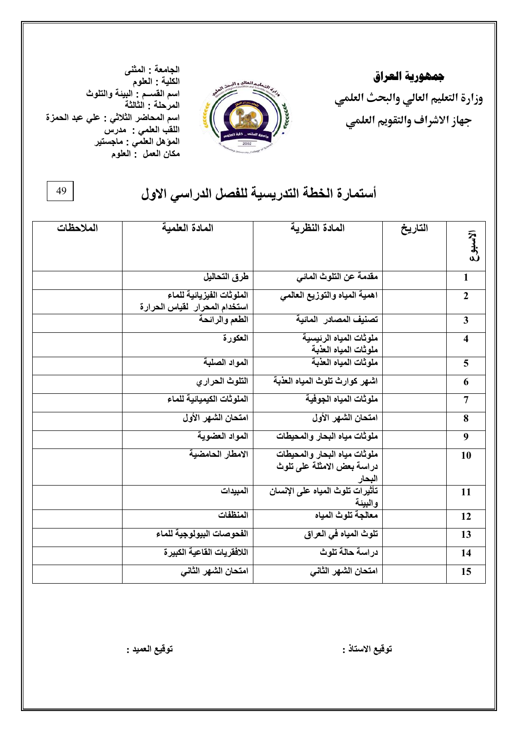**مجهورية العراق وزارة التعليم العالي والبحث العلمي جهاز االشراف والتقويم العلمي**



**الجامعة : المثنى الكلية : العلوم اسم القســم : البيئة والتلوث المرحلة : الثالثة اسم المحاضر الثالثي : علي عبد الحمزة اللقب العلمي : مدرس المؤهل العلمي : ماجستير مكان العمل : العلوم**

49

## أستمارة الخطة التدريسية للفصل الدراس*ي* الاول

| الملاحظات | المادة العلمية                                             | المادة النظرية                                                       | التاريخ | الاسبوع                 |
|-----------|------------------------------------------------------------|----------------------------------------------------------------------|---------|-------------------------|
|           | طرق التحاليل                                               | مقدمة عن التلوث المائي                                               |         | $\mathbf{1}$            |
|           | الملوثات الفيزيائية للماء<br>استخدام المحرار لقياس الحرارة | اهمية المياه والتوزيع العالمي                                        |         | $\overline{2}$          |
|           | الطعم والرائحة                                             | تصنيف المصادر المائية                                                |         | $\overline{\mathbf{3}}$ |
|           | العكورة                                                    | ملوثات المياه الرئيسية<br>ملوثات المياه العذبة                       |         | $\overline{\mathbf{4}}$ |
|           | المواد الصلبة                                              | ملوثات المياه العذبة                                                 |         | 5                       |
|           | التلوث الحراري                                             | اشهر كوارث تلوث المياه العذبة                                        |         | 6                       |
|           | الملوثات الكيميائية للماع                                  | ملوثات المياه الجوفية                                                |         | $\overline{7}$          |
|           | امتحان الشهر الأول                                         | امتحان الشهر الأول                                                   |         | 8                       |
|           | المواد العضوية                                             | ملوثات مياه البحار والمحيطات                                         |         | 9                       |
|           | الامطار الحامضية                                           | ملوثات مياه البحار والمحيطات<br>دراسة بعض الامثلة على تلوث<br>البحار |         | 10                      |
|           | المبيدات                                                   | تأثيرات تلوث المياه على الإنسا <i>ن</i><br>والبيئة                   |         | 11                      |
|           | المنظفات                                                   | معالجة تلوث المياه                                                   |         | 12                      |
|           | الفحوصات البيولوجية للماء                                  | تلوث المياه في العراق                                                |         | 13                      |
|           | اللافقريات القاعية الكبيرة                                 | دراسة حالة تلوث                                                      |         | 14                      |
|           | امتحان الشهر الثاني                                        | امتحان الشهر الثاني                                                  |         | 15                      |

**تىقٍع االستبر : تىقٍع انعًٍذ :**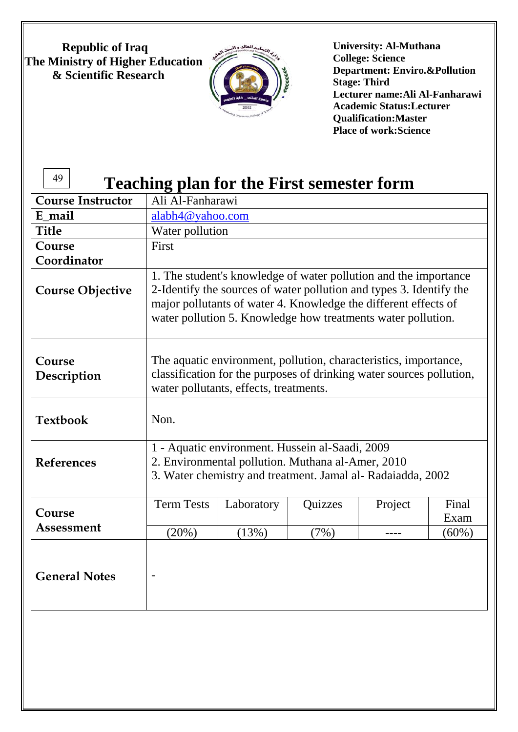**Republic of Iraq The Ministry of Higher Education & Scientific Research**



**University: Al-Muthana College: Science Department: Enviro.&Pollution Stage: Third Lecturer name:Ali Al-Fanharawi Academic Status:Lecturer Qualification:Master Place of work:Science**

### 49

# **Teaching plan for the First semester form**

| <b>Course Instructor</b> | Ali Al-Fanharawi                                                                                                                                                                                                                                                           |            |         |         |               |
|--------------------------|----------------------------------------------------------------------------------------------------------------------------------------------------------------------------------------------------------------------------------------------------------------------------|------------|---------|---------|---------------|
| E mail                   | alabh4@yahoo.com                                                                                                                                                                                                                                                           |            |         |         |               |
| <b>Title</b>             | Water pollution                                                                                                                                                                                                                                                            |            |         |         |               |
| Course                   | First                                                                                                                                                                                                                                                                      |            |         |         |               |
| Coordinator              |                                                                                                                                                                                                                                                                            |            |         |         |               |
| <b>Course Objective</b>  | 1. The student's knowledge of water pollution and the importance<br>2-Identify the sources of water pollution and types 3. Identify the<br>major pollutants of water 4. Knowledge the different effects of<br>water pollution 5. Knowledge how treatments water pollution. |            |         |         |               |
| Course<br>Description    | The aquatic environment, pollution, characteristics, importance,<br>classification for the purposes of drinking water sources pollution,<br>water pollutants, effects, treatments.                                                                                         |            |         |         |               |
| <b>Textbook</b>          | Non.                                                                                                                                                                                                                                                                       |            |         |         |               |
| <b>References</b>        | 1 - Aquatic environment. Hussein al-Saadi, 2009<br>2. Environmental pollution. Muthana al-Amer, 2010<br>3. Water chemistry and treatment. Jamal al-Radaiadda, 2002                                                                                                         |            |         |         |               |
| Course                   | <b>Term Tests</b>                                                                                                                                                                                                                                                          | Laboratory | Quizzes | Project | Final<br>Exam |
| Assessment               | (20%)                                                                                                                                                                                                                                                                      | (13%)      | (7%)    |         | $(60\%)$      |
| <b>General Notes</b>     |                                                                                                                                                                                                                                                                            |            |         |         |               |